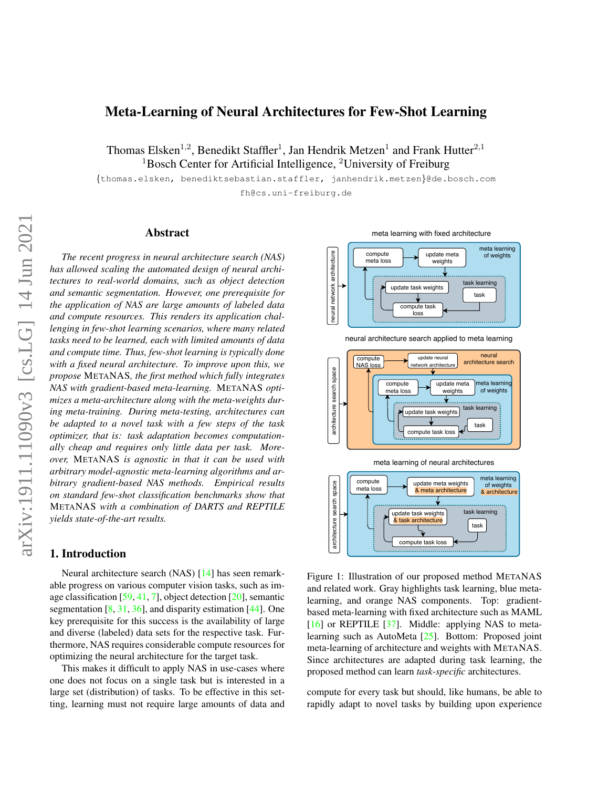# <span id="page-0-2"></span><span id="page-0-1"></span>Meta-Learning of Neural Architectures for Few-Shot Learning

Thomas Elsken<sup>1,2</sup>, Benedikt Staffler<sup>1</sup>, Jan Hendrik Metzen<sup>1</sup> and Frank Hutter<sup>2,1</sup> <sup>1</sup>Bosch Center for Artificial Intelligence, <sup>2</sup>University of Freiburg

{thomas.elsken, benediktsebastian.staffler, janhendrik.metzen}@de.bosch.com fh@cs.uni-freiburg.de

#### Abstract

*The recent progress in neural architecture search (NAS) has allowed scaling the automated design of neural architectures to real-world domains, such as object detection and semantic segmentation. However, one prerequisite for the application of NAS are large amounts of labeled data and compute resources. This renders its application challenging in few-shot learning scenarios, where many related tasks need to be learned, each with limited amounts of data and compute time. Thus, few-shot learning is typically done with a fixed neural architecture. To improve upon this, we propose* METANAS*, the first method which fully integrates NAS with gradient-based meta-learning.* METANAS *optimizes a meta-architecture along with the meta-weights during meta-training. During meta-testing, architectures can be adapted to a novel task with a few steps of the task optimizer, that is: task adaptation becomes computationally cheap and requires only little data per task. Moreover,* METANAS *is agnostic in that it can be used with arbitrary model-agnostic meta-learning algorithms and arbitrary gradient-based NAS methods. Empirical results on standard few-shot classification benchmarks show that* METANAS *with a combination of DARTS and REPTILE yields state-of-the-art results.*

# 1. Introduction

Neural architecture search (NAS) [\[14\]](#page-9-0) has seen remarkable progress on various computer vision tasks, such as image classification [\[59,](#page-11-0) [41,](#page-10-0) [7\]](#page-9-1), object detection [\[20\]](#page-9-2), semantic segmentation  $[8, 31, 36]$  $[8, 31, 36]$  $[8, 31, 36]$  $[8, 31, 36]$  $[8, 31, 36]$ , and disparity estimation  $[44]$ . One key prerequisite for this success is the availability of large and diverse (labeled) data sets for the respective task. Furthermore, NAS requires considerable compute resources for optimizing the neural architecture for the target task.

This makes it difficult to apply NAS in use-cases where one does not focus on a single task but is interested in a large set (distribution) of tasks. To be effective in this setting, learning must not require large amounts of data and

<span id="page-0-0"></span>

neural architecture search applied to meta learning



Figure 1: Illustration of our proposed method METANAS and related work. Gray highlights task learning, blue metalearning, and orange NAS components. Top: gradientbased meta-learning with fixed architecture such as MAML [\[16\]](#page-9-4) or REPTILE [\[37\]](#page-10-4). Middle: applying NAS to metalearning such as AutoMeta [\[25\]](#page-10-5). Bottom: Proposed joint meta-learning of architecture and weights with METANAS. Since architectures are adapted during task learning, the proposed method can learn *task-specific* architectures.

compute for every task but should, like humans, be able to rapidly adapt to novel tasks by building upon experience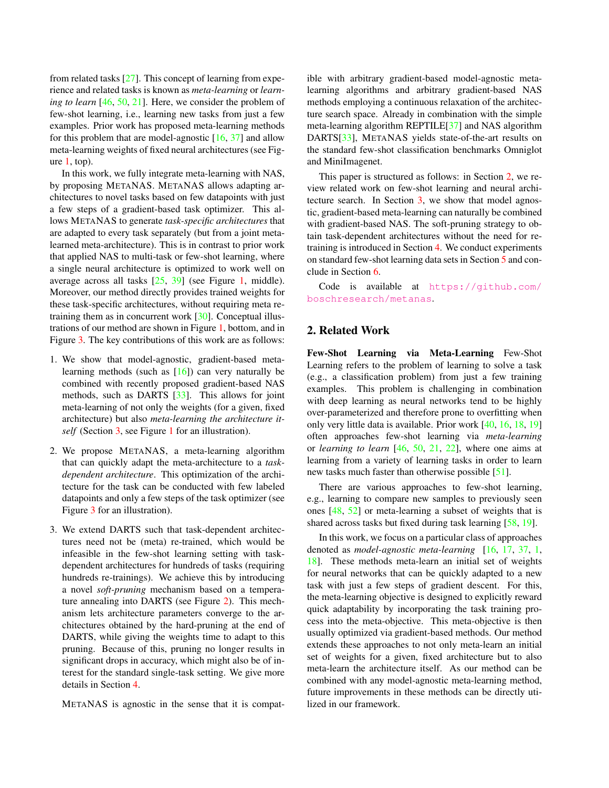<span id="page-1-1"></span>from related tasks [\[27\]](#page-10-6). This concept of learning from experience and related tasks is known as *meta-learning* or *learning to learn* [\[46,](#page-11-1) [50,](#page-11-2) [21\]](#page-9-5). Here, we consider the problem of few-shot learning, i.e., learning new tasks from just a few examples. Prior work has proposed meta-learning methods for this problem that are model-agnostic  $[16, 37]$  $[16, 37]$  $[16, 37]$  and allow meta-learning weights of fixed neural architectures (see Figure  $1$ , top).

In this work, we fully integrate meta-learning with NAS, by proposing METANAS. METANAS allows adapting architectures to novel tasks based on few datapoints with just a few steps of a gradient-based task optimizer. This allows METANAS to generate *task-specific architectures* that are adapted to every task separately (but from a joint metalearned meta-architecture). This is in contrast to prior work that applied NAS to multi-task or few-shot learning, where a single neural architecture is optimized to work well on average across all tasks [\[25,](#page-10-5) [39\]](#page-10-7) (see Figure [1,](#page-0-0) middle). Moreover, our method directly provides trained weights for these task-specific architectures, without requiring meta retraining them as in concurrent work [\[30\]](#page-10-8). Conceptual illustrations of our method are shown in Figure [1,](#page-0-0) bottom, and in Figure [3.](#page-5-0) The key contributions of this work are as follows:

- 1. We show that model-agnostic, gradient-based metalearning methods (such as  $[16]$ ) can very naturally be combined with recently proposed gradient-based NAS methods, such as DARTS [\[33\]](#page-10-9). This allows for joint meta-learning of not only the weights (for a given, fixed architecture) but also *meta-learning the architecture itself* (Section [3,](#page-2-0) see Figure [1](#page-0-0) for an illustration).
- 2. We propose METANAS, a meta-learning algorithm that can quickly adapt the meta-architecture to a *taskdependent architecture*. This optimization of the architecture for the task can be conducted with few labeled datapoints and only a few steps of the task optimizer (see Figure [3](#page-5-0) for an illustration).
- 3. We extend DARTS such that task-dependent architectures need not be (meta) re-trained, which would be infeasible in the few-shot learning setting with taskdependent architectures for hundreds of tasks (requiring hundreds re-trainings). We achieve this by introducing a novel *soft-pruning* mechanism based on a temperature annealing into DARTS (see Figure [2\)](#page-3-0). This mechanism lets architecture parameters converge to the architectures obtained by the hard-pruning at the end of DARTS, while giving the weights time to adapt to this pruning. Because of this, pruning no longer results in significant drops in accuracy, which might also be of interest for the standard single-task setting. We give more details in Section [4.](#page-4-0)

METANAS is agnostic in the sense that it is compat-

ible with arbitrary gradient-based model-agnostic metalearning algorithms and arbitrary gradient-based NAS methods employing a continuous relaxation of the architecture search space. Already in combination with the simple meta-learning algorithm REPTILE[\[37\]](#page-10-4) and NAS algorithm DARTS[\[33\]](#page-10-9), METANAS yields state-of-the-art results on the standard few-shot classification benchmarks Omniglot and MiniImagenet.

This paper is structured as follows: in Section [2,](#page-1-0) we review related work on few-shot learning and neural architecture search. In Section [3,](#page-2-0) we show that model agnostic, gradient-based meta-learning can naturally be combined with gradient-based NAS. The soft-pruning strategy to obtain task-dependent architectures without the need for retraining is introduced in Section [4.](#page-4-0) We conduct experiments on standard few-shot learning data sets in Section [5](#page-6-0) and conclude in Section [6.](#page-7-0)

Code is available at [https://github.com/](https://github.com/boschresearch/metanas) [boschresearch/metanas](https://github.com/boschresearch/metanas).

# <span id="page-1-0"></span>2. Related Work

Few-Shot Learning via Meta-Learning Few-Shot Learning refers to the problem of learning to solve a task (e.g., a classification problem) from just a few training examples. This problem is challenging in combination with deep learning as neural networks tend to be highly over-parameterized and therefore prone to overfitting when only very little data is available. Prior work [\[40,](#page-10-10) [16,](#page-9-4) [18,](#page-9-6) [19\]](#page-9-7) often approaches few-shot learning via *meta-learning* or *learning to learn* [\[46,](#page-11-1) [50,](#page-11-2) [21,](#page-9-5) [22\]](#page-10-11), where one aims at learning from a variety of learning tasks in order to learn new tasks much faster than otherwise possible [\[51\]](#page-11-3).

There are various approaches to few-shot learning, e.g., learning to compare new samples to previously seen ones [\[48,](#page-11-4) [52\]](#page-11-5) or meta-learning a subset of weights that is shared across tasks but fixed during task learning [\[58,](#page-11-6) [19\]](#page-9-7).

In this work, we focus on a particular class of approaches denoted as *model-agnostic meta-learning* [\[16,](#page-9-4) [17,](#page-9-8) [37,](#page-10-4) [1,](#page-9-9) [18\]](#page-9-6). These methods meta-learn an initial set of weights for neural networks that can be quickly adapted to a new task with just a few steps of gradient descent. For this, the meta-learning objective is designed to explicitly reward quick adaptability by incorporating the task training process into the meta-objective. This meta-objective is then usually optimized via gradient-based methods. Our method extends these approaches to not only meta-learn an initial set of weights for a given, fixed architecture but to also meta-learn the architecture itself. As our method can be combined with any model-agnostic meta-learning method, future improvements in these methods can be directly utilized in our framework.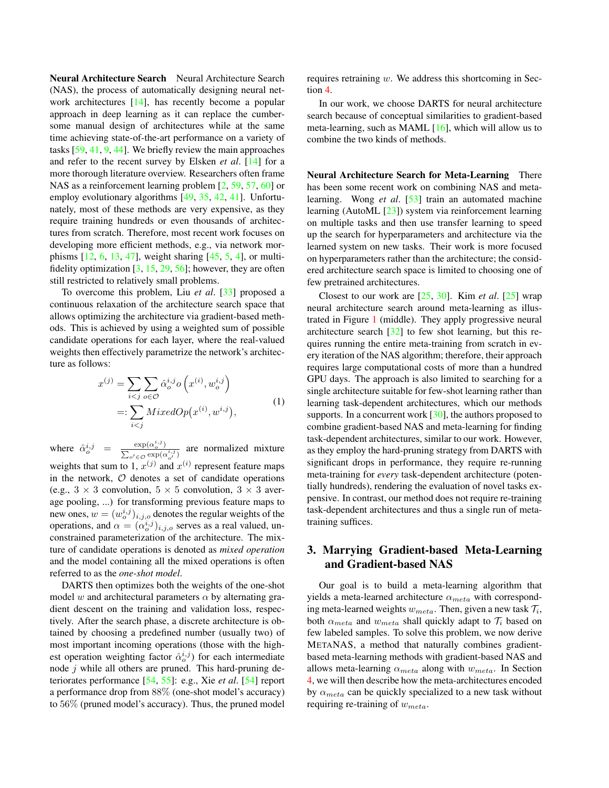<span id="page-2-3"></span><span id="page-2-1"></span>Neural Architecture Search Neural Architecture Search (NAS), the process of automatically designing neural network architectures [\[14\]](#page-9-0), has recently become a popular approach in deep learning as it can replace the cumbersome manual design of architectures while at the same time achieving state-of-the-art performance on a variety of tasks [\[59,](#page-11-0) [41,](#page-10-0) [9,](#page-9-10) [44\]](#page-10-3). We briefly review the main approaches and refer to the recent survey by Elsken *et al*. [\[14\]](#page-9-0) for a more thorough literature overview. Researchers often frame NAS as a reinforcement learning problem [\[2,](#page-9-11) [59,](#page-11-0) [57,](#page-11-7) [60\]](#page-11-8) or employ evolutionary algorithms [\[49,](#page-11-9) [35,](#page-10-12) [42,](#page-10-13) [41\]](#page-10-0). Unfortunately, most of these methods are very expensive, as they require training hundreds or even thousands of architectures from scratch. Therefore, most recent work focuses on developing more efficient methods, e.g., via network morphisms [\[12,](#page-9-12) [6,](#page-9-13) [13,](#page-9-14) [47\]](#page-11-10), weight sharing [\[45,](#page-11-11) [5,](#page-9-15) [4\]](#page-9-16), or multifidelity optimization  $[3, 15, 29, 56]$  $[3, 15, 29, 56]$  $[3, 15, 29, 56]$  $[3, 15, 29, 56]$  $[3, 15, 29, 56]$  $[3, 15, 29, 56]$  $[3, 15, 29, 56]$ ; however, they are often still restricted to relatively small problems.

To overcome this problem, Liu *et al*. [\[33\]](#page-10-9) proposed a continuous relaxation of the architecture search space that allows optimizing the architecture via gradient-based methods. This is achieved by using a weighted sum of possible candidate operations for each layer, where the real-valued weights then effectively parametrize the network's architecture as follows:

$$
x^{(j)} = \sum_{i < j} \sum_{o \in \mathcal{O}} \hat{\alpha}_o^{i,j} o\left(x^{(i)}, w_o^{i,j}\right)
$$
\n
$$
=: \sum_{i < j} MixedOp\left(x^{(i)}, w^{i,j}\right),\tag{1}
$$

<span id="page-2-2"></span>where  $\hat{\alpha}_o^{i,j} = \frac{\exp(\alpha_o^{i,j})}{\sum_{i} \exp(\alpha_i^{i})}$  $\frac{\exp(\alpha_o^{\circ})}{\sum_{o' \in \mathcal{O}} \exp(\alpha_o^{\circ})}$  are normalized mixture weights that sum to 1,  $x^{(j)}$  and  $x^{(i)}$  represent feature maps in the network,  $\mathcal O$  denotes a set of candidate operations (e.g.,  $3 \times 3$  convolution,  $5 \times 5$  convolution,  $3 \times 3$  average pooling, ...) for transforming previous feature maps to new ones,  $w = (w_o^{i,j})_{i,j,o}$  denotes the regular weights of the operations, and  $\alpha = (\alpha_o^{i,j})_{i,j,o}$  serves as a real valued, unconstrained parameterization of the architecture. The mixture of candidate operations is denoted as *mixed operation* and the model containing all the mixed operations is often referred to as the *one-shot model*.

DARTS then optimizes both the weights of the one-shot model w and architectural parameters  $\alpha$  by alternating gradient descent on the training and validation loss, respectively. After the search phase, a discrete architecture is obtained by choosing a predefined number (usually two) of most important incoming operations (those with the highest operation weighting factor  $\hat{\alpha}_o^{i,j}$ ) for each intermediate node  $j$  while all others are pruned. This hard-pruning deteriorates performance [\[54,](#page-11-13) [55\]](#page-11-14): e.g., Xie *et al*. [\[54\]](#page-11-13) report a performance drop from 88% (one-shot model's accuracy) to 56% (pruned model's accuracy). Thus, the pruned model requires retraining w. We address this shortcoming in Section [4.](#page-4-0)

In our work, we choose DARTS for neural architecture search because of conceptual similarities to gradient-based meta-learning, such as MAML [\[16\]](#page-9-4), which will allow us to combine the two kinds of methods.

Neural Architecture Search for Meta-Learning There has been some recent work on combining NAS and metalearning. Wong *et al*. [\[53\]](#page-11-15) train an automated machine learning (AutoML [\[23\]](#page-10-15)) system via reinforcement learning on multiple tasks and then use transfer learning to speed up the search for hyperparameters and architecture via the learned system on new tasks. Their work is more focused on hyperparameters rather than the architecture; the considered architecture search space is limited to choosing one of few pretrained architectures.

Closest to our work are [\[25,](#page-10-5) [30\]](#page-10-8). Kim *et al*. [\[25\]](#page-10-5) wrap neural architecture search around meta-learning as illustrated in Figure [1](#page-0-0) (middle). They apply progressive neural architecture search [\[32\]](#page-10-16) to few shot learning, but this requires running the entire meta-training from scratch in every iteration of the NAS algorithm; therefore, their approach requires large computational costs of more than a hundred GPU days. The approach is also limited to searching for a single architecture suitable for few-shot learning rather than learning task-dependent architectures, which our methods supports. In a concurrent work [\[30\]](#page-10-8), the authors proposed to combine gradient-based NAS and meta-learning for finding task-dependent architectures, similar to our work. However, as they employ the hard-pruning strategy from DARTS with significant drops in performance, they require re-running meta-training for *every* task-dependent architecture (potentially hundreds), rendering the evaluation of novel tasks expensive. In contrast, our method does not require re-training task-dependent architectures and thus a single run of metatraining suffices.

# <span id="page-2-0"></span>3. Marrying Gradient-based Meta-Learning and Gradient-based NAS

Our goal is to build a meta-learning algorithm that yields a meta-learned architecture  $\alpha_{meta}$  with corresponding meta-learned weights  $w_{meta}$ . Then, given a new task  $\mathcal{T}_i$ , both  $\alpha_{meta}$  and  $w_{meta}$  shall quickly adapt to  $\mathcal{T}_i$  based on few labeled samples. To solve this problem, we now derive METANAS, a method that naturally combines gradientbased meta-learning methods with gradient-based NAS and allows meta-learning  $\alpha_{meta}$  along with  $w_{meta}$ . In Section [4,](#page-4-0) we will then describe how the meta-architectures encoded by  $\alpha_{meta}$  can be quickly specialized to a new task without requiring re-training of  $w_{meta}$ .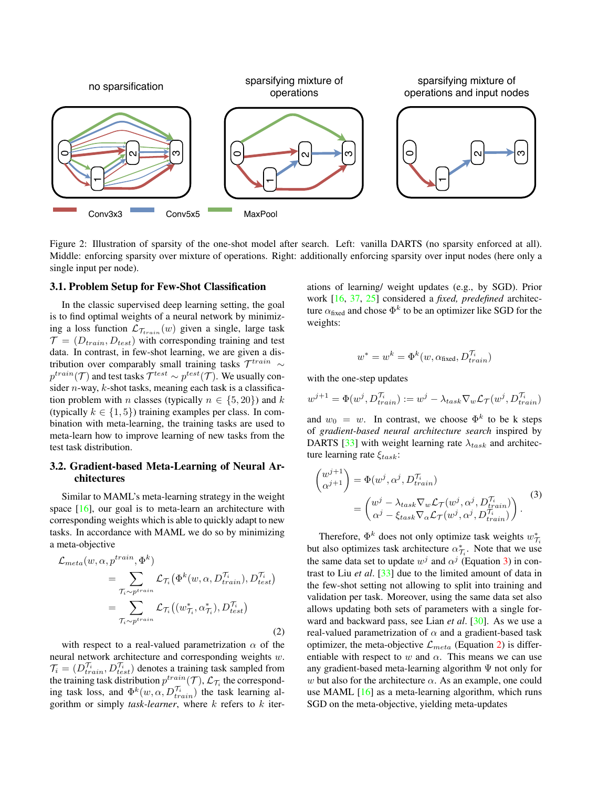<span id="page-3-3"></span><span id="page-3-0"></span>

Figure 2: Illustration of sparsity of the one-shot model after search. Left: vanilla DARTS (no sparsity enforced at all). Middle: enforcing sparsity over mixture of operations. Right: additionally enforcing sparsity over input nodes (here only a single input per node).

#### 3.1. Problem Setup for Few-Shot Classification

In the classic supervised deep learning setting, the goal is to find optimal weights of a neural network by minimizing a loss function  $\mathcal{L}_{\mathcal{T}_{train}}(w)$  given a single, large task  $\mathcal{T} = (D_{train}, D_{test})$  with corresponding training and test data. In contrast, in few-shot learning, we are given a distribution over comparably small training tasks  $\mathcal{T}^{train} \sim$  $p^{train}(\mathcal{T})$  and test tasks  $\mathcal{T}^{test} \sim p^{test}(\mathcal{T})$ . We usually consider  $n$ -way,  $k$ -shot tasks, meaning each task is a classification problem with *n* classes (typically  $n \in \{5, 20\}$ ) and k (typically  $k \in \{1, 5\}$ ) training examples per class. In combination with meta-learning, the training tasks are used to meta-learn how to improve learning of new tasks from the test task distribution.

#### <span id="page-3-4"></span>3.2. Gradient-based Meta-Learning of Neural Architectures

Similar to MAML's meta-learning strategy in the weight space  $[16]$ , our goal is to meta-learn an architecture with corresponding weights which is able to quickly adapt to new tasks. In accordance with MAML we do so by minimizing a meta-objective

<span id="page-3-2"></span>
$$
\mathcal{L}_{meta}(w, \alpha, p^{train}, \Phi^k)
$$
\n
$$
= \sum_{\substack{\mathcal{T}_i \sim p^{train}}} \mathcal{L}_{\mathcal{T}_i}(\Phi^k(w, \alpha, D_{train}^{\mathcal{T}_i}), D_{test}^{\mathcal{T}_i})
$$
\n
$$
= \sum_{\mathcal{T}_i \sim p^{train}} \mathcal{L}_{\mathcal{T}_i}((w_{\mathcal{T}_i}^*, \alpha_{\mathcal{T}_i}^*), D_{test}^{\mathcal{T}_i})
$$
\n(2)

with respect to a real-valued parametrization  $\alpha$  of the neural network architecture and corresponding weights w.  $\mathcal{T}_i = (D_{train}^{\mathcal{T}_i}, D_{test}^{\mathcal{T}_i})$  denotes a training task sampled from the training task distribution  $p^{train}(\mathcal{T})$ ,  $\mathcal{L}_{\mathcal{T}_i}$  the corresponding task loss, and  $\Phi^k(w, \alpha, D_{train}^{\tau_i})$  the task learning algorithm or simply *task-learner*, where k refers to k iterations of learning/ weight updates (e.g., by SGD). Prior work [\[16,](#page-9-4) [37,](#page-10-4) [25\]](#page-10-5) considered a *fixed, predefined* architecture  $\alpha_{\text{fixed}}$  and chose  $\Phi^k$  to be an optimizer like SGD for the weights:

$$
w^* = w^k = \Phi^k(w, \alpha_{\text{fixed}}, D_{train}^{\mathcal{T}_i})
$$

with the one-step updates

$$
w^{j+1} = \Phi(w^j, D_{train}^{\mathcal{T}_i}) := w^j - \lambda_{task} \nabla_w \mathcal{L}_{\mathcal{T}}(w^j, D_{train}^{\mathcal{T}_i})
$$

and  $w_0 = w$ . In contrast, we choose  $\Phi^k$  to be k steps of *gradient-based neural architecture search* inspired by DARTS [\[33\]](#page-10-9) with weight learning rate  $\lambda_{task}$  and architecture learning rate  $\xi_{task}$ :

<span id="page-3-1"></span>
$$
\begin{aligned}\n\begin{pmatrix}\nw^{j+1} \\
\alpha^{j+1}\n\end{pmatrix} &= \Phi(w^j, \alpha^j, D_{train}^{\mathcal{T}_i}) \\
&= \begin{pmatrix}\nw^j - \lambda_{task} \nabla_w \mathcal{L}_{\mathcal{T}}(w^j, \alpha^j, D_{train}^{\mathcal{T}_i}) \\
\alpha^j - \xi_{task} \nabla_\alpha \mathcal{L}_{\mathcal{T}}(w^j, \alpha^j, D_{train}^{\mathcal{T}_i})\n\end{pmatrix}.\n\end{aligned} \tag{3}
$$

Therefore,  $\Phi^k$  does not only optimize task weights  $w_{\mathcal{T}_i}^*$ but also optimizes task architecture  $\alpha_{\tau_i}^*$ . Note that we use the same data set to update  $w^j$  and  $\alpha^j$  (Equation [3\)](#page-3-1) in contrast to Liu *et al*. [\[33\]](#page-10-9) due to the limited amount of data in the few-shot setting not allowing to split into training and validation per task. Moreover, using the same data set also allows updating both sets of parameters with a single forward and backward pass, see Lian *et al*. [\[30\]](#page-10-8). As we use a real-valued parametrization of  $\alpha$  and a gradient-based task optimizer, the meta-objective  $\mathcal{L}_{meta}$  (Equation [2\)](#page-3-2) is differentiable with respect to w and  $\alpha$ . This means we can use any gradient-based meta-learning algorithm Ψ not only for w but also for the architecture  $\alpha$ . As an example, one could use MAML  $[16]$  as a meta-learning algorithm, which runs SGD on the meta-objective, yielding meta-updates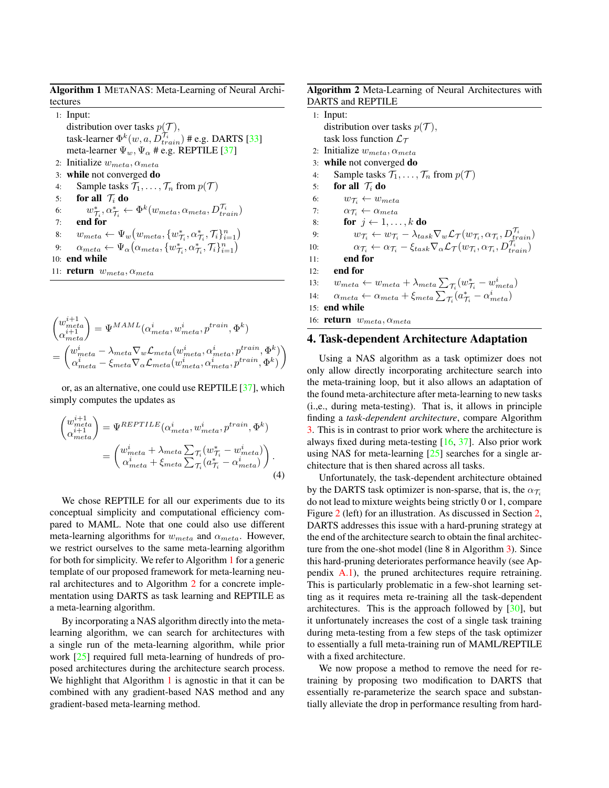<span id="page-4-3"></span><span id="page-4-1"></span>Algorithm 1 METANAS: Meta-Learning of Neural Architectures

|     | $1:$ Input:                                                                                                                       |
|-----|-----------------------------------------------------------------------------------------------------------------------------------|
|     | distribution over tasks $p(\mathcal{T})$ ,                                                                                        |
|     | task-learner $\Phi^k(w, a, D_{train}^{\tau_i})$ # e.g. DARTS [33]                                                                 |
|     | meta-learner $\Psi_w$ , $\Psi_\alpha$ # e.g. REPTILE [37]                                                                         |
|     | 2: Initialize $w_{meta}, \alpha_{meta}$                                                                                           |
|     | 3: while not converged do                                                                                                         |
| 4:  | Sample tasks $\mathcal{T}_1, \ldots, \mathcal{T}_n$ from $p(\mathcal{T})$                                                         |
| 5:  | for all $\tau_i$ do                                                                                                               |
| 6:  | $w_{\mathcal{T}_i}^*, \alpha_{\mathcal{T}_i}^* \leftarrow \Phi^k(w_{meta}, \alpha_{meta}, D_{train}^{\mathcal{T}_i})$             |
| 7:  | end for                                                                                                                           |
| 8:  | $w_{meta} \leftarrow \Psi_w(w_{meta}, \{w_{\mathcal{T}_i}^*, \alpha_{\mathcal{T}_i}^*, \mathcal{T}_i\}_{i=1}^n)$                  |
| 9:  | $\alpha_{meta} \leftarrow \Psi_{\alpha}(\alpha_{meta}, \{w_{\mathcal{T}_i}^*, \alpha_{\mathcal{T}_i}^*, \mathcal{T}_i\}_{i=1}^n)$ |
| 10: | end while                                                                                                                         |
|     | 11: <b>return</b> $w_{meta}, \alpha_{meta}$                                                                                       |

$$
\begin{aligned} &\binom{w_{meta}^{i+1}}{\alpha_{meta}^{i+1}} = \Psi^{MAML}(\alpha_{meta}^i, w_{meta}^i, p^{train}, \Phi^k) \\ &= \begin{pmatrix} w_{meta}^i - \lambda_{meta} \nabla_w \mathcal{L}_{meta}(w_{meta}^i, \alpha_{meta}^i, p^{train}, \Phi^k) \\ \alpha_{meta}^i - \xi_{meta} \nabla_\alpha \mathcal{L}_{meta}(w_{meta}^i, \alpha_{meta}^i, p^{train}, \Phi^k) \end{pmatrix} \end{aligned}
$$

or, as an alternative, one could use REPTILE [\[37\]](#page-10-4), which simply computes the updates as

$$
\begin{pmatrix} w_{meta}^{i+1} \\ \alpha_{meta}^{i+1} \end{pmatrix} = \Psi^{REPTILE}(\alpha_{meta}^i, w_{meta}^i, p^{train}, \Phi^k)
$$

$$
= \begin{pmatrix} w_{meta}^i + \lambda_{meta} \sum_{\tau_i} (w_{\tau_i}^* - w_{meta}^i) \\ \alpha_{meta}^i + \xi_{meta} \sum_{\tau_i} (a_{\tau_i}^* - \alpha_{meta}^i) \end{pmatrix} .
$$
(4)

We chose REPTILE for all our experiments due to its conceptual simplicity and computational efficiency compared to MAML. Note that one could also use different meta-learning algorithms for  $w_{meta}$  and  $\alpha_{meta}$ . However, we restrict ourselves to the same meta-learning algorithm for both for simplicity. We refer to Algorithm [1](#page-4-1) for a generic template of our proposed framework for meta-learning neural architectures and to Algorithm [2](#page-4-2) for a concrete implementation using DARTS as task learning and REPTILE as a meta-learning algorithm.

By incorporating a NAS algorithm directly into the metalearning algorithm, we can search for architectures with a single run of the meta-learning algorithm, while prior work [\[25\]](#page-10-5) required full meta-learning of hundreds of proposed architectures during the architecture search process. We highlight that Algorithm [1](#page-4-1) is agnostic in that it can be combined with any gradient-based NAS method and any gradient-based meta-learning method.

#### <span id="page-4-2"></span>Algorithm 2 Meta-Learning of Neural Architectures with DARTS and REPTILE

|     | $1:$ Input:                                                                                                                                                                                                                                                                                                                                                         |
|-----|---------------------------------------------------------------------------------------------------------------------------------------------------------------------------------------------------------------------------------------------------------------------------------------------------------------------------------------------------------------------|
|     | distribution over tasks $p(\mathcal{T})$ ,                                                                                                                                                                                                                                                                                                                          |
|     | task loss function $\mathcal{L}_{\mathcal{T}}$                                                                                                                                                                                                                                                                                                                      |
|     | 2: Initialize $w_{meta}, \alpha_{meta}$                                                                                                                                                                                                                                                                                                                             |
|     | 3: while not converged do                                                                                                                                                                                                                                                                                                                                           |
| 4:  | Sample tasks $\mathcal{T}_1, \ldots, \mathcal{T}_n$ from $p(\mathcal{T})$                                                                                                                                                                                                                                                                                           |
| 5:  | for all $\mathcal{T}_i$ do                                                                                                                                                                                                                                                                                                                                          |
| 6:  | $w_{\tau_i} \leftarrow w_{meta}$                                                                                                                                                                                                                                                                                                                                    |
| 7:  | $\alpha_{\mathcal{T}_i} \leftarrow \alpha_{meta}$                                                                                                                                                                                                                                                                                                                   |
| 8:  | for $j \leftarrow 1, \ldots, k$ do                                                                                                                                                                                                                                                                                                                                  |
| 9:  | $w_{\mathcal{T}_i} \leftarrow w_{\mathcal{T}_i} - \lambda_{task} \nabla_w \mathcal{L}_{\mathcal{T}}(w_{\mathcal{T}_i}, \alpha_{\mathcal{T}_i}, D_{train}^{\mathcal{T}_i}) \\ \alpha_{\mathcal{T}_i} \leftarrow \alpha_{\mathcal{T}_i} - \xi_{task} \nabla_{\alpha} \mathcal{L}_{\mathcal{T}}(w_{\mathcal{T}_i}, \alpha_{\mathcal{T}_i}, D_{train}^{\mathcal{T}_i})$ |
| 10: |                                                                                                                                                                                                                                                                                                                                                                     |
| 11: | end for                                                                                                                                                                                                                                                                                                                                                             |
| 12: | end for                                                                                                                                                                                                                                                                                                                                                             |
| 13: | $w_{meta} \leftarrow w_{meta} + \lambda_{meta} \sum_{\mathcal{T}_i} (w_{\mathcal{T}_i}^* - w_{meta}^i)$                                                                                                                                                                                                                                                             |
| 14: | $\alpha_{meta} \leftarrow \alpha_{meta} + \xi_{meta} \sum_{\tau_i} (a_{\tau_i}^* - \alpha_{meta}^i)$                                                                                                                                                                                                                                                                |
|     | $15:$ end while                                                                                                                                                                                                                                                                                                                                                     |
|     | 16: <b>return</b> $w_{meta}, \alpha_{meta}$                                                                                                                                                                                                                                                                                                                         |
|     |                                                                                                                                                                                                                                                                                                                                                                     |

### <span id="page-4-0"></span>4. Task-dependent Architecture Adaptation

Using a NAS algorithm as a task optimizer does not only allow directly incorporating architecture search into the meta-training loop, but it also allows an adaptation of the found meta-architecture after meta-learning to new tasks (i.,e., during meta-testing). That is, it allows in principle finding a *task-dependent architecture*, compare Algorithm [3.](#page-5-1) This is in contrast to prior work where the architecture is always fixed during meta-testing [\[16,](#page-9-4) [37\]](#page-10-4). Also prior work using NAS for meta-learning  $[25]$  searches for a single architecture that is then shared across all tasks.

Unfortunately, the task-dependent architecture obtained by the DARTS task optimizer is non-sparse, that is, the  $\alpha_{\tau_i}$ do not lead to mixture weights being strictly 0 or 1, compare Figure [2](#page-3-0) (left) for an illustration. As discussed in Section [2,](#page-2-1) DARTS addresses this issue with a hard-pruning strategy at the end of the architecture search to obtain the final architecture from the one-shot model (line 8 in Algorithm [3\)](#page-5-1). Since this hard-pruning deteriorates performance heavily (see Appendix [A.1\)](#page-12-0), the pruned architectures require retraining. This is particularly problematic in a few-shot learning setting as it requires meta re-training all the task-dependent architectures. This is the approach followed by  $[30]$ , but it unfortunately increases the cost of a single task training during meta-testing from a few steps of the task optimizer to essentially a full meta-training run of MAML/REPTILE with a fixed architecture.

We now propose a method to remove the need for retraining by proposing two modification to DARTS that essentially re-parameterize the search space and substantially alleviate the drop in performance resulting from hard-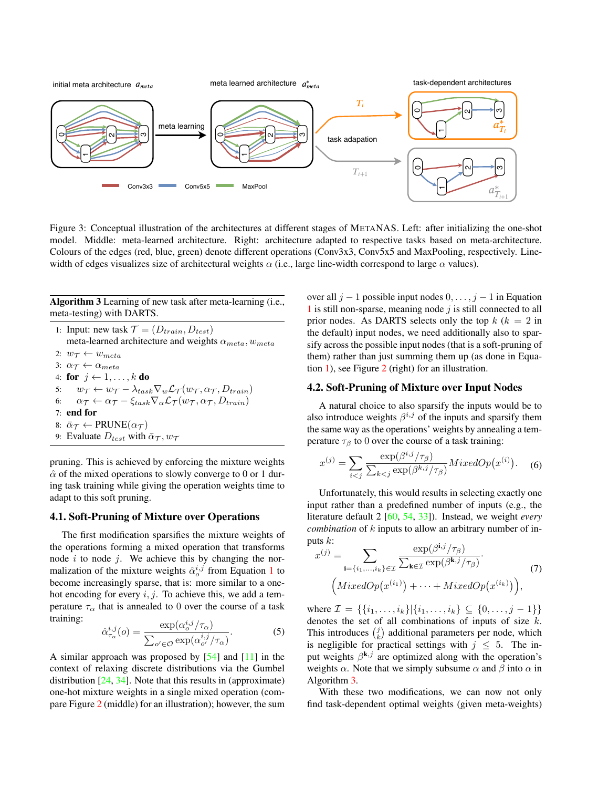<span id="page-5-2"></span><span id="page-5-0"></span>

Figure 3: Conceptual illustration of the architectures at different stages of METANAS. Left: after initializing the one-shot model. Middle: meta-learned architecture. Right: architecture adapted to respective tasks based on meta-architecture. Colours of the edges (red, blue, green) denote different operations (Conv3x3, Conv5x5 and MaxPooling, respectively. Linewidth of edges visualizes size of architectural weights  $\alpha$  (i.e., large line-width correspond to large  $\alpha$  values).

<span id="page-5-1"></span>Algorithm 3 Learning of new task after meta-learning (i.e., meta-testing) with DARTS.

1: Input: new task  $\mathcal{T} = (D_{train}, D_{test})$ meta-learned architecture and weights  $\alpha_{meta}$ ,  $w_{meta}$ 2:  $w_{\mathcal{T}} \leftarrow w_{meta}$ 3:  $\alpha_{\tau} \leftarrow \alpha_{meta}$ 4: for  $j \leftarrow 1, \ldots, k$  do 5:  $w_{\mathcal{T}} \leftarrow w_{\mathcal{T}} - \lambda_{task} \nabla_w \mathcal{L}_{\mathcal{T}}(w_{\mathcal{T}}, \alpha_{\mathcal{T}}, D_{train})$ 6:  $\alpha_{\mathcal{T}} \leftarrow \alpha_{\mathcal{T}} - \xi_{task} \nabla_{\alpha} \mathcal{L}_{\mathcal{T}}(w_{\mathcal{T}}, \alpha_{\mathcal{T}}, D_{train})$ 7: end for 8:  $\bar{\alpha}_{\mathcal{T}} \leftarrow \text{PRUNE}(\alpha_{\mathcal{T}})$ 9: Evaluate  $D_{test}$  with  $\bar{\alpha}_{\mathcal{T}}$ ,  $w_{\mathcal{T}}$ 

pruning. This is achieved by enforcing the mixture weights  $\hat{\alpha}$  of the mixed operations to slowly converge to 0 or 1 during task training while giving the operation weights time to adapt to this soft pruning.

#### 4.1. Soft-Pruning of Mixture over Operations

The first modification sparsifies the mixture weights of the operations forming a mixed operation that transforms node  $i$  to node  $j$ . We achieve this by changing the normalization of the mixture weights  $\hat{\alpha}^{i,j}_{o}$  from Equation [1](#page-2-2) to become increasingly sparse, that is: more similar to a onehot encoding for every  $i, j$ . To achieve this, we add a temperature  $\tau_{\alpha}$  that is annealed to 0 over the course of a task training:

$$
\hat{\alpha}_{\tau_{\alpha}}^{i,j}(o) = \frac{\exp(\alpha_o^{i,j}/\tau_{\alpha})}{\sum_{o' \in \mathcal{O}} \exp(\alpha_o^{i,j}/\tau_{\alpha})}.
$$
 (5)

A similar approach was proposed by  $[54]$  and  $[11]$  in the context of relaxing discrete distributions via the Gumbel distribution [\[24,](#page-10-17) [34\]](#page-10-18). Note that this results in (approximate) one-hot mixture weights in a single mixed operation (compare Figure [2](#page-3-0) (middle) for an illustration); however, the sum over all  $j - 1$  possible input nodes  $0, \ldots, j - 1$  in Equation  $1$  is still non-sparse, meaning node  $j$  is still connected to all prior nodes. As DARTS selects only the top  $k (k = 2$  in the default) input nodes, we need additionally also to sparsify across the possible input nodes (that is a soft-pruning of them) rather than just summing them up (as done in Equation [1\)](#page-2-2), see Figure [2](#page-3-0) (right) for an illustration.

#### 4.2. Soft-Pruning of Mixture over Input Nodes

A natural choice to also sparsify the inputs would be to also introduce weights  $\beta^{i,j}$  of the inputs and sparsify them the same way as the operations' weights by annealing a temperature  $\tau_\beta$  to 0 over the course of a task training:

$$
x^{(j)} = \sum_{i < j} \frac{\exp(\beta^{i,j}/\tau_{\beta})}{\sum_{k < j} \exp(\beta^{k,j}/\tau_{\beta})} MixedOp(x^{(i)}) \tag{6}
$$

Unfortunately, this would results in selecting exactly one input rather than a predefined number of inputs (e.g., the literature default 2 [\[60,](#page-11-8) [54,](#page-11-13) [33\]](#page-10-9)). Instead, we weight *every combination* of k inputs to allow an arbitrary number of inputs  $k$ :

$$
x^{(j)} = \sum_{\mathbf{i}=\{i_1,\dots,i_k\} \in \mathcal{I}} \frac{\exp(\beta^{\mathbf{i},j}/\tau_\beta)}{\sum_{\mathbf{k} \in \mathcal{I}} \exp(\beta^{\mathbf{k},j}/\tau_\beta)}.
$$
  

$$
\left(MixedOp(x^{(i_1)}) + \dots + MixedOp(x^{(i_k)})\right),
$$
 (7)

where  $\mathcal{I} = \{\{i_1, \ldots, i_k\} | \{i_1, \ldots, i_k\} \subseteq \{0, \ldots, j-1\} \}$ denotes the set of all combinations of inputs of size  $k$ . This introduces  $\binom{j}{k}$  additional parameters per node, which is negligible for practical settings with  $j \leq 5$ . The input weights  $\beta^{k,j}$  are optimized along with the operation's weights  $\alpha$ . Note that we simply subsume  $\alpha$  and  $\beta$  into  $\alpha$  in Algorithm [3.](#page-5-1)

With these two modifications, we can now not only find task-dependent optimal weights (given meta-weights)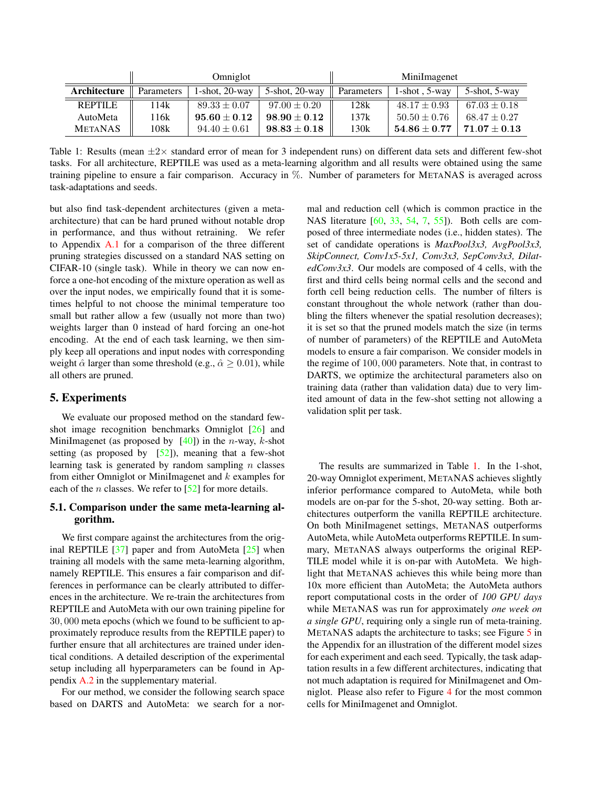<span id="page-6-2"></span><span id="page-6-1"></span>

|                | Omniglot   |                      |                   | MiniImagenet |                  |                  |
|----------------|------------|----------------------|-------------------|--------------|------------------|------------------|
| Architecture   | Parameters | $1$ -shot, $20$ -way | $5$ -shot, 20-way | Parameters   | 1-shot $.5$ -way | 5-shot, 5-way    |
| <b>REPTILE</b> | 114k       | $89.33 \pm 0.07$     | $97.00 \pm 0.20$  | 128k         | $48.17 \pm 0.93$ | $67.03 \pm 0.18$ |
| AutoMeta       | 116k       | $95.60 \pm 0.12$     | $98.90 \pm 0.12$  | 137k         | $50.50 \pm 0.76$ | $68.47 \pm 0.27$ |
| <b>METANAS</b> | 108k       | $94.40 \pm 0.61$     | $98.83 \pm 0.18$  | 130k         | $54.86\pm0.77$   | $71.07 + 0.13$   |

Table 1: Results (mean  $\pm 2\times$  standard error of mean for 3 independent runs) on different data sets and different few-shot tasks. For all architecture, REPTILE was used as a meta-learning algorithm and all results were obtained using the same training pipeline to ensure a fair comparison. Accuracy in %. Number of parameters for METANAS is averaged across task-adaptations and seeds.

but also find task-dependent architectures (given a metaarchitecture) that can be hard pruned without notable drop in performance, and thus without retraining. We refer to Appendix [A.1](#page-12-0) for a comparison of the three different pruning strategies discussed on a standard NAS setting on CIFAR-10 (single task). While in theory we can now enforce a one-hot encoding of the mixture operation as well as over the input nodes, we empirically found that it is sometimes helpful to not choose the minimal temperature too small but rather allow a few (usually not more than two) weights larger than 0 instead of hard forcing an one-hot encoding. At the end of each task learning, we then simply keep all operations and input nodes with corresponding weight  $\hat{\alpha}$  larger than some threshold (e.g.,  $\hat{\alpha} > 0.01$ ), while all others are pruned.

# <span id="page-6-0"></span>5. Experiments

We evaluate our proposed method on the standard fewshot image recognition benchmarks Omniglot [\[26\]](#page-10-19) and MiniImagenet (as proposed by  $[40]$ ) in the *n*-way, *k*-shot setting (as proposed by  $[52]$ ), meaning that a few-shot learning task is generated by random sampling  $n$  classes from either Omniglot or MiniImagenet and  $k$  examples for each of the *n* classes. We refer to  $[52]$  for more details.

### <span id="page-6-3"></span>5.1. Comparison under the same meta-learning algorithm.

We first compare against the architectures from the original REPTILE [\[37\]](#page-10-4) paper and from AutoMeta [\[25\]](#page-10-5) when training all models with the same meta-learning algorithm, namely REPTILE. This ensures a fair comparison and differences in performance can be clearly attributed to differences in the architecture. We re-train the architectures from REPTILE and AutoMeta with our own training pipeline for 30, 000 meta epochs (which we found to be sufficient to approximately reproduce results from the REPTILE paper) to further ensure that all architectures are trained under identical conditions. A detailed description of the experimental setup including all hyperparameters can be found in Appendix [A.2](#page-12-1) in the supplementary material.

For our method, we consider the following search space based on DARTS and AutoMeta: we search for a normal and reduction cell (which is common practice in the NAS literature [\[60,](#page-11-8) [33,](#page-10-9) [54,](#page-11-13) [7,](#page-9-1) [55\]](#page-11-14)). Both cells are composed of three intermediate nodes (i.e., hidden states). The set of candidate operations is *MaxPool3x3, AvgPool3x3, SkipConnect, Conv1x5-5x1, Conv3x3, SepConv3x3, DilatedConv3x3*. Our models are composed of 4 cells, with the first and third cells being normal cells and the second and forth cell being reduction cells. The number of filters is constant throughout the whole network (rather than doubling the filters whenever the spatial resolution decreases); it is set so that the pruned models match the size (in terms of number of parameters) of the REPTILE and AutoMeta models to ensure a fair comparison. We consider models in the regime of 100, 000 parameters. Note that, in contrast to DARTS, we optimize the architectural parameters also on training data (rather than validation data) due to very limited amount of data in the few-shot setting not allowing a validation split per task.

The results are summarized in Table [1.](#page-6-1) In the 1-shot, 20-way Omniglot experiment, METANAS achieves slightly inferior performance compared to AutoMeta, while both models are on-par for the 5-shot, 20-way setting. Both architectures outperform the vanilla REPTILE architecture. On both MiniImagenet settings, METANAS outperforms AutoMeta, while AutoMeta outperforms REPTILE. In summary, METANAS always outperforms the original REP-TILE model while it is on-par with AutoMeta. We highlight that METANAS achieves this while being more than 10x more efficient than AutoMeta; the AutoMeta authors report computational costs in the order of *100 GPU days* while METANAS was run for approximately *one week on a single GPU*, requiring only a single run of meta-training. METANAS adapts the architecture to tasks; see Figure [5](#page-14-0) in the Appendix for an illustration of the different model sizes for each experiment and each seed. Typically, the task adaptation results in a few different architectures, indicating that not much adaptation is required for MiniImagenet and Omniglot. Please also refer to Figure [4](#page-7-1) for the most common cells for MiniImagenet and Omniglot.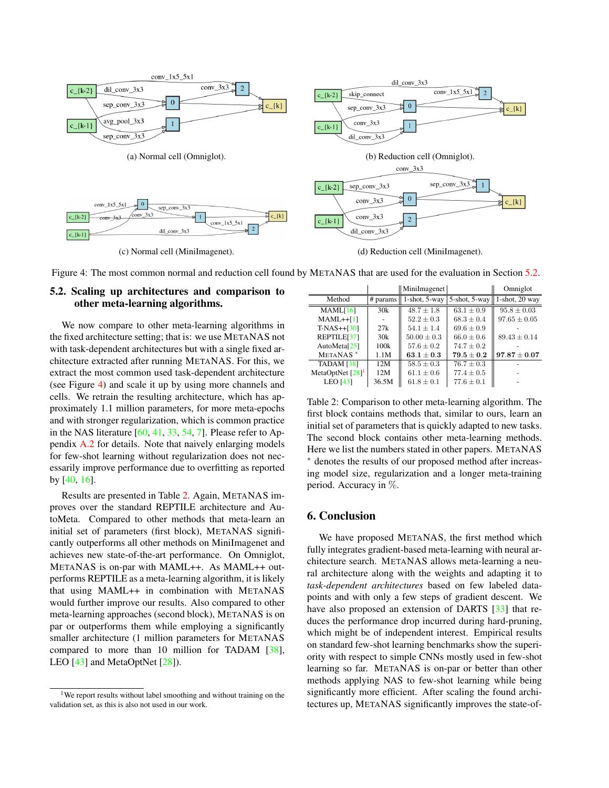<span id="page-7-5"></span><span id="page-7-1"></span>

(c) Normal cell (MiniImagenet). (d) Reduction cell (MiniImagenet).

Figure 4: The most common normal and reduction cell found by METANAS that are used for the evaluation in Section [5.2.](#page-7-2)

# <span id="page-7-2"></span>5.2. Scaling up architectures and comparison to other meta-learning algorithms.

We now compare to other meta-learning algorithms in the fixed architecture setting; that is: we use METANAS not with task-dependent architectures but with a single fixed architecture extracted after running METANAS. For this, we extract the most common used task-dependent architecture (see Figure [4\)](#page-7-1) and scale it up by using more channels and cells. We retrain the resulting architecture, which has approximately 1.1 million parameters, for more meta-epochs and with stronger regularization, which is common practice in the NAS literature  $[60, 41, 33, 54, 7]$  $[60, 41, 33, 54, 7]$  $[60, 41, 33, 54, 7]$  $[60, 41, 33, 54, 7]$  $[60, 41, 33, 54, 7]$  $[60, 41, 33, 54, 7]$  $[60, 41, 33, 54, 7]$  $[60, 41, 33, 54, 7]$  $[60, 41, 33, 54, 7]$ . Please refer to Appendix [A.2](#page-12-1) for details. Note that naively enlarging models for few-shot learning without regularization does not necessarily improve performance due to overfitting as reported by [\[40,](#page-10-10) [16\]](#page-9-4).

Results are presented in Table [2.](#page-7-3) Again, METANAS improves over the standard REPTILE architecture and AutoMeta. Compared to other methods that meta-learn an initial set of parameters (first block), METANAS significantly outperforms all other methods on MiniImagenet and achieves new state-of-the-art performance. On Omniglot, METANAS is on-par with MAML++. As MAML++ outperforms REPTILE as a meta-learning algorithm, it is likely that using MAML++ in combination with METANAS would further improve our results. Also compared to other meta-learning approaches (second block), METANAS is on par or outperforms them while employing a significantly smaller architecture (1 million parameters for METANAS compared to more than 10 million for TADAM [\[38\]](#page-10-20), LEO [\[43\]](#page-10-21) and MetaOptNet [\[28\]](#page-10-22)).

<span id="page-7-3"></span>

|                              |       | MiniImagenet                       |                              | Omniglot            |
|------------------------------|-------|------------------------------------|------------------------------|---------------------|
| Method                       |       | # params $\parallel$ 1-shot, 5-way | 5-shot, $5$ -way $\parallel$ | $1$ -shot, $20$ way |
| MAML[16]                     | 30k   | $48.7 \pm 1.8$                     | $63.1 \pm 0.9$               | $95.8 \pm 0.03$     |
| $MAML++[1]$                  |       | $52.2 + 0.3$                       | $68.3 \pm 0.4$               | $97.65 \pm 0.05$    |
| $T-NAS++[30]$                | 27k   | $54.1 + 1.4$                       | $69.6 \pm 0.9$               |                     |
| REPTILE[37]                  | 30k   | $50.00 \pm 0.3$                    | $66.0 \pm 0.6$               | $89.43 \pm 0.14$    |
| AutoMeta $[25]$              | 100k  | $57.6 + 0.2$                       | $74.7 \pm 0.2$               |                     |
| METANAS <sup>*</sup>         | 1.1M  | $63.1 + 0.3$                       | $79.5 + 0.2$                 | $97.87 \pm 0.07$    |
| <b>TADAM</b> [38]            | 12M   | $58.5 \pm 0.3$                     | $76.7 \pm 0.3$               |                     |
| MetaOptNet [28] <sup>1</sup> | 12M   | $61.1 \pm 0.6$                     | $77.4 \pm 0.5$               |                     |
| LEO $[43]$                   | 36.5M | $61.8 \pm 0.1$                     | $77.6 \pm 0.1$               |                     |

Table 2: Comparison to other meta-learning algorithm. The first block contains methods that, similar to ours, learn an initial set of parameters that is quickly adapted to new tasks. The second block contains other meta-learning methods. Here we list the numbers stated in other papers. METANAS <sup>∗</sup> denotes the results of our proposed method after increasing model size, regularization and a longer meta-training period. Accuracy in %.

# <span id="page-7-0"></span>6. Conclusion

We have proposed METANAS, the first method which fully integrates gradient-based meta-learning with neural architecture search. METANAS allows meta-learning a neural architecture along with the weights and adapting it to *task-dependent architectures* based on few labeled datapoints and with only a few steps of gradient descent. We have also proposed an extension of DARTS [\[33\]](#page-10-9) that reduces the performance drop incurred during hard-pruning, which might be of independent interest. Empirical results on standard few-shot learning benchmarks show the superiority with respect to simple CNNs mostly used in few-shot learning so far. METANAS is on-par or better than other methods applying NAS to few-shot learning while being significantly more efficient. After scaling the found architectures up, METANAS significantly improves the state-of-

<span id="page-7-4"></span><sup>&</sup>lt;sup>1</sup>We report results without label smoothing and without training on the validation set, as this is also not used in our work.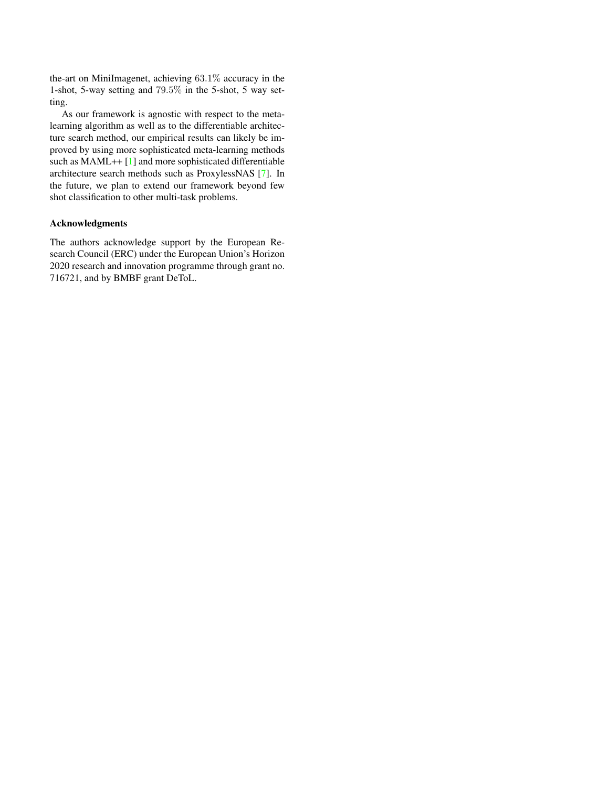<span id="page-8-0"></span>the-art on MiniImagenet, achieving 63.1% accuracy in the 1-shot, 5-way setting and 79.5% in the 5-shot, 5 way setting.

As our framework is agnostic with respect to the metalearning algorithm as well as to the differentiable architecture search method, our empirical results can likely be improved by using more sophisticated meta-learning methods such as MAML++ [\[1\]](#page-9-9) and more sophisticated differentiable architecture search methods such as ProxylessNAS [\[7\]](#page-9-1). In the future, we plan to extend our framework beyond few shot classification to other multi-task problems.

#### Acknowledgments

The authors acknowledge support by the European Research Council (ERC) under the European Union's Horizon 2020 research and innovation programme through grant no. 716721, and by BMBF grant DeToL.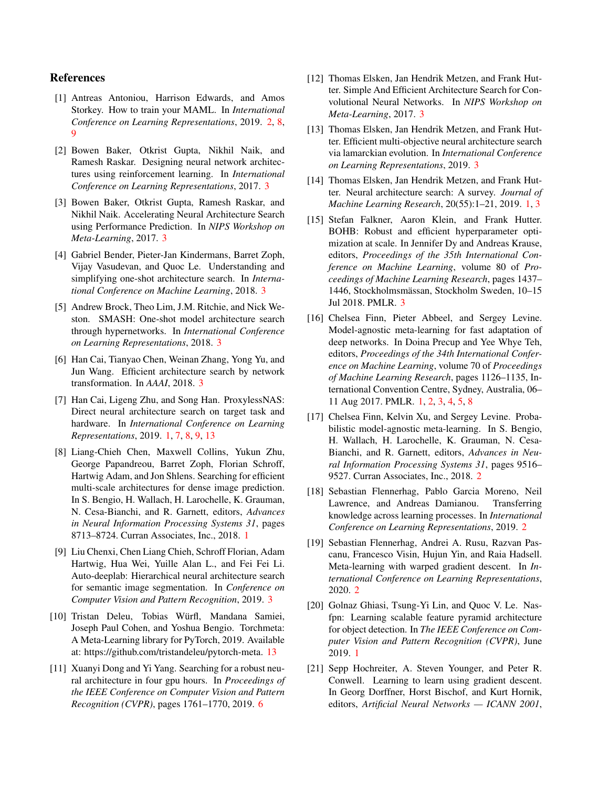#### <span id="page-9-9"></span>References

- [1] Antreas Antoniou, Harrison Edwards, and Amos Storkey. How to train your MAML. In *International Conference on Learning Representations*, 2019. [2,](#page-1-1) [8,](#page-7-5) [9](#page-8-0)
- <span id="page-9-11"></span>[2] Bowen Baker, Otkrist Gupta, Nikhil Naik, and Ramesh Raskar. Designing neural network architectures using reinforcement learning. In *International Conference on Learning Representations*, 2017. [3](#page-2-3)
- <span id="page-9-17"></span>[3] Bowen Baker, Otkrist Gupta, Ramesh Raskar, and Nikhil Naik. Accelerating Neural Architecture Search using Performance Prediction. In *NIPS Workshop on Meta-Learning*, 2017. [3](#page-2-3)
- <span id="page-9-16"></span>[4] Gabriel Bender, Pieter-Jan Kindermans, Barret Zoph, Vijay Vasudevan, and Quoc Le. Understanding and simplifying one-shot architecture search. In *International Conference on Machine Learning*, 2018. [3](#page-2-3)
- <span id="page-9-15"></span>[5] Andrew Brock, Theo Lim, J.M. Ritchie, and Nick Weston. SMASH: One-shot model architecture search through hypernetworks. In *International Conference on Learning Representations*, 2018. [3](#page-2-3)
- <span id="page-9-13"></span>[6] Han Cai, Tianyao Chen, Weinan Zhang, Yong Yu, and Jun Wang. Efficient architecture search by network transformation. In *AAAI*, 2018. [3](#page-2-3)
- <span id="page-9-1"></span>[7] Han Cai, Ligeng Zhu, and Song Han. ProxylessNAS: Direct neural architecture search on target task and hardware. In *International Conference on Learning Representations*, 2019. [1,](#page-0-1) [7,](#page-6-2) [8,](#page-7-5) [9,](#page-8-0) [13](#page-12-2)
- <span id="page-9-3"></span>[8] Liang-Chieh Chen, Maxwell Collins, Yukun Zhu, George Papandreou, Barret Zoph, Florian Schroff, Hartwig Adam, and Jon Shlens. Searching for efficient multi-scale architectures for dense image prediction. In S. Bengio, H. Wallach, H. Larochelle, K. Grauman, N. Cesa-Bianchi, and R. Garnett, editors, *Advances in Neural Information Processing Systems 31*, pages 8713–8724. Curran Associates, Inc., 2018. [1](#page-0-1)
- <span id="page-9-10"></span>[9] Liu Chenxi, Chen Liang Chieh, Schroff Florian, Adam Hartwig, Hua Wei, Yuille Alan L., and Fei Fei Li. Auto-deeplab: Hierarchical neural architecture search for semantic image segmentation. In *Conference on Computer Vision and Pattern Recognition*, 2019. [3](#page-2-3)
- <span id="page-9-20"></span>[10] Tristan Deleu, Tobias Würfl, Mandana Samiei, Joseph Paul Cohen, and Yoshua Bengio. Torchmeta: A Meta-Learning library for PyTorch, 2019. Available at: https://github.com/tristandeleu/pytorch-meta. [13](#page-12-2)
- <span id="page-9-19"></span>[11] Xuanyi Dong and Yi Yang. Searching for a robust neural architecture in four gpu hours. In *Proceedings of the IEEE Conference on Computer Vision and Pattern Recognition (CVPR)*, pages 1761–1770, 2019. [6](#page-5-2)
- <span id="page-9-12"></span>[12] Thomas Elsken, Jan Hendrik Metzen, and Frank Hutter. Simple And Efficient Architecture Search for Convolutional Neural Networks. In *NIPS Workshop on Meta-Learning*, 2017. [3](#page-2-3)
- <span id="page-9-14"></span>[13] Thomas Elsken, Jan Hendrik Metzen, and Frank Hutter. Efficient multi-objective neural architecture search via lamarckian evolution. In *International Conference on Learning Representations*, 2019. [3](#page-2-3)
- <span id="page-9-0"></span>[14] Thomas Elsken, Jan Hendrik Metzen, and Frank Hutter. Neural architecture search: A survey. *Journal of Machine Learning Research*, 20(55):1–21, 2019. [1,](#page-0-1) [3](#page-2-3)
- <span id="page-9-18"></span>[15] Stefan Falkner, Aaron Klein, and Frank Hutter. BOHB: Robust and efficient hyperparameter optimization at scale. In Jennifer Dy and Andreas Krause, editors, *Proceedings of the 35th International Conference on Machine Learning*, volume 80 of *Proceedings of Machine Learning Research*, pages 1437– 1446, Stockholmsmässan, Stockholm Sweden, 10–15 Jul 2018. PMLR. [3](#page-2-3)
- <span id="page-9-4"></span>[16] Chelsea Finn, Pieter Abbeel, and Sergey Levine. Model-agnostic meta-learning for fast adaptation of deep networks. In Doina Precup and Yee Whye Teh, editors, *Proceedings of the 34th International Conference on Machine Learning*, volume 70 of *Proceedings of Machine Learning Research*, pages 1126–1135, International Convention Centre, Sydney, Australia, 06– 11 Aug 2017. PMLR. [1,](#page-0-1) [2,](#page-1-1) [3,](#page-2-3) [4,](#page-3-3) [5,](#page-4-3) [8](#page-7-5)
- <span id="page-9-8"></span>[17] Chelsea Finn, Kelvin Xu, and Sergey Levine. Probabilistic model-agnostic meta-learning. In S. Bengio, H. Wallach, H. Larochelle, K. Grauman, N. Cesa-Bianchi, and R. Garnett, editors, *Advances in Neural Information Processing Systems 31*, pages 9516– 9527. Curran Associates, Inc., 2018. [2](#page-1-1)
- <span id="page-9-6"></span>[18] Sebastian Flennerhag, Pablo Garcia Moreno, Neil Lawrence, and Andreas Damianou. Transferring knowledge across learning processes. In *International Conference on Learning Representations*, 2019. [2](#page-1-1)
- <span id="page-9-7"></span>[19] Sebastian Flennerhag, Andrei A. Rusu, Razvan Pascanu, Francesco Visin, Hujun Yin, and Raia Hadsell. Meta-learning with warped gradient descent. In *International Conference on Learning Representations*, 2020. [2](#page-1-1)
- <span id="page-9-2"></span>[20] Golnaz Ghiasi, Tsung-Yi Lin, and Quoc V. Le. Nasfpn: Learning scalable feature pyramid architecture for object detection. In *The IEEE Conference on Computer Vision and Pattern Recognition (CVPR)*, June 2019. [1](#page-0-1)
- <span id="page-9-5"></span>[21] Sepp Hochreiter, A. Steven Younger, and Peter R. Conwell. Learning to learn using gradient descent. In Georg Dorffner, Horst Bischof, and Kurt Hornik, editors, *Artificial Neural Networks — ICANN 2001*,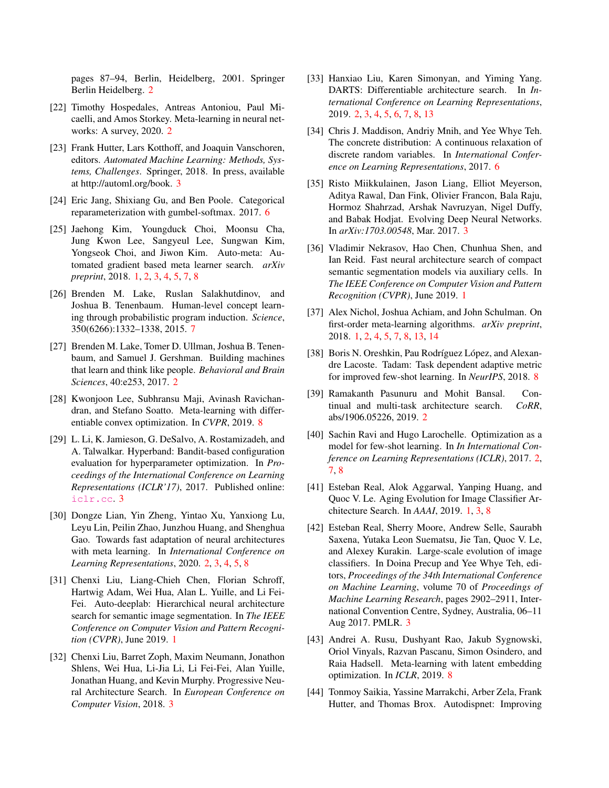pages 87–94, Berlin, Heidelberg, 2001. Springer Berlin Heidelberg. [2](#page-1-1)

- <span id="page-10-11"></span>[22] Timothy Hospedales, Antreas Antoniou, Paul Micaelli, and Amos Storkey. Meta-learning in neural networks: A survey, 2020. [2](#page-1-1)
- <span id="page-10-15"></span>[23] Frank Hutter, Lars Kotthoff, and Joaquin Vanschoren, editors. *Automated Machine Learning: Methods, Systems, Challenges*. Springer, 2018. In press, available at http://automl.org/book. [3](#page-2-3)
- <span id="page-10-17"></span>[24] Eric Jang, Shixiang Gu, and Ben Poole. Categorical reparameterization with gumbel-softmax. 2017. [6](#page-5-2)
- <span id="page-10-5"></span>[25] Jaehong Kim, Youngduck Choi, Moonsu Cha, Jung Kwon Lee, Sangyeul Lee, Sungwan Kim, Yongseok Choi, and Jiwon Kim. Auto-meta: Automated gradient based meta learner search. *arXiv preprint*, 2018. [1,](#page-0-1) [2,](#page-1-1) [3,](#page-2-3) [4,](#page-3-3) [5,](#page-4-3) [7,](#page-6-2) [8](#page-7-5)
- <span id="page-10-19"></span>[26] Brenden M. Lake, Ruslan Salakhutdinov, and Joshua B. Tenenbaum. Human-level concept learning through probabilistic program induction. *Science*, 350(6266):1332–1338, 2015. [7](#page-6-2)
- <span id="page-10-6"></span>[27] Brenden M. Lake, Tomer D. Ullman, Joshua B. Tenenbaum, and Samuel J. Gershman. Building machines that learn and think like people. *Behavioral and Brain Sciences*, 40:e253, 2017. [2](#page-1-1)
- <span id="page-10-22"></span>[28] Kwonjoon Lee, Subhransu Maji, Avinash Ravichandran, and Stefano Soatto. Meta-learning with differentiable convex optimization. In *CVPR*, 2019. [8](#page-7-5)
- <span id="page-10-14"></span>[29] L. Li, K. Jamieson, G. DeSalvo, A. Rostamizadeh, and A. Talwalkar. Hyperband: Bandit-based configuration evaluation for hyperparameter optimization. In *Proceedings of the International Conference on Learning Representations (ICLR'17)*, 2017. Published online: <iclr.cc>. [3](#page-2-3)
- <span id="page-10-8"></span>[30] Dongze Lian, Yin Zheng, Yintao Xu, Yanxiong Lu, Leyu Lin, Peilin Zhao, Junzhou Huang, and Shenghua Gao. Towards fast adaptation of neural architectures with meta learning. In *International Conference on Learning Representations*, 2020. [2,](#page-1-1) [3,](#page-2-3) [4,](#page-3-3) [5,](#page-4-3) [8](#page-7-5)
- <span id="page-10-1"></span>[31] Chenxi Liu, Liang-Chieh Chen, Florian Schroff, Hartwig Adam, Wei Hua, Alan L. Yuille, and Li Fei-Fei. Auto-deeplab: Hierarchical neural architecture search for semantic image segmentation. In *The IEEE Conference on Computer Vision and Pattern Recognition (CVPR)*, June 2019. [1](#page-0-1)
- <span id="page-10-16"></span>[32] Chenxi Liu, Barret Zoph, Maxim Neumann, Jonathon Shlens, Wei Hua, Li-Jia Li, Li Fei-Fei, Alan Yuille, Jonathan Huang, and Kevin Murphy. Progressive Neural Architecture Search. In *European Conference on Computer Vision*, 2018. [3](#page-2-3)
- <span id="page-10-9"></span>[33] Hanxiao Liu, Karen Simonyan, and Yiming Yang. DARTS: Differentiable architecture search. In *International Conference on Learning Representations*, 2019. [2,](#page-1-1) [3,](#page-2-3) [4,](#page-3-3) [5,](#page-4-3) [6,](#page-5-2) [7,](#page-6-2) [8,](#page-7-5) [13](#page-12-2)
- <span id="page-10-18"></span>[34] Chris J. Maddison, Andriy Mnih, and Yee Whye Teh. The concrete distribution: A continuous relaxation of discrete random variables. In *International Conference on Learning Representations*, 2017. [6](#page-5-2)
- <span id="page-10-12"></span>[35] Risto Miikkulainen, Jason Liang, Elliot Meyerson, Aditya Rawal, Dan Fink, Olivier Francon, Bala Raju, Hormoz Shahrzad, Arshak Navruzyan, Nigel Duffy, and Babak Hodjat. Evolving Deep Neural Networks. In *arXiv:1703.00548*, Mar. 2017. [3](#page-2-3)
- <span id="page-10-2"></span>[36] Vladimir Nekrasov, Hao Chen, Chunhua Shen, and Ian Reid. Fast neural architecture search of compact semantic segmentation models via auxiliary cells. In *The IEEE Conference on Computer Vision and Pattern Recognition (CVPR)*, June 2019. [1](#page-0-1)
- <span id="page-10-4"></span>[37] Alex Nichol, Joshua Achiam, and John Schulman. On first-order meta-learning algorithms. *arXiv preprint*, 2018. [1,](#page-0-1) [2,](#page-1-1) [4,](#page-3-3) [5,](#page-4-3) [7,](#page-6-2) [8,](#page-7-5) [13,](#page-12-2) [14](#page-13-0)
- <span id="page-10-20"></span>[38] Boris N. Oreshkin, Pau Rodríguez López, and Alexandre Lacoste. Tadam: Task dependent adaptive metric for improved few-shot learning. In *NeurIPS*, 2018. [8](#page-7-5)
- <span id="page-10-7"></span>[39] Ramakanth Pasunuru and Mohit Bansal. Continual and multi-task architecture search. *CoRR*, abs/1906.05226, 2019. [2](#page-1-1)
- <span id="page-10-10"></span>[40] Sachin Ravi and Hugo Larochelle. Optimization as a model for few-shot learning. In *In International Conference on Learning Representations (ICLR)*, 2017. [2,](#page-1-1) [7,](#page-6-2) [8](#page-7-5)
- <span id="page-10-0"></span>[41] Esteban Real, Alok Aggarwal, Yanping Huang, and Quoc V. Le. Aging Evolution for Image Classifier Architecture Search. In *AAAI*, 2019. [1,](#page-0-1) [3,](#page-2-3) [8](#page-7-5)
- <span id="page-10-13"></span>[42] Esteban Real, Sherry Moore, Andrew Selle, Saurabh Saxena, Yutaka Leon Suematsu, Jie Tan, Quoc V. Le, and Alexey Kurakin. Large-scale evolution of image classifiers. In Doina Precup and Yee Whye Teh, editors, *Proceedings of the 34th International Conference on Machine Learning*, volume 70 of *Proceedings of Machine Learning Research*, pages 2902–2911, International Convention Centre, Sydney, Australia, 06–11 Aug 2017. PMLR. [3](#page-2-3)
- <span id="page-10-21"></span>[43] Andrei A. Rusu, Dushyant Rao, Jakub Sygnowski, Oriol Vinyals, Razvan Pascanu, Simon Osindero, and Raia Hadsell. Meta-learning with latent embedding optimization. In *ICLR*, 2019. [8](#page-7-5)
- <span id="page-10-3"></span>[44] Tonmoy Saikia, Yassine Marrakchi, Arber Zela, Frank Hutter, and Thomas Brox. Autodispnet: Improving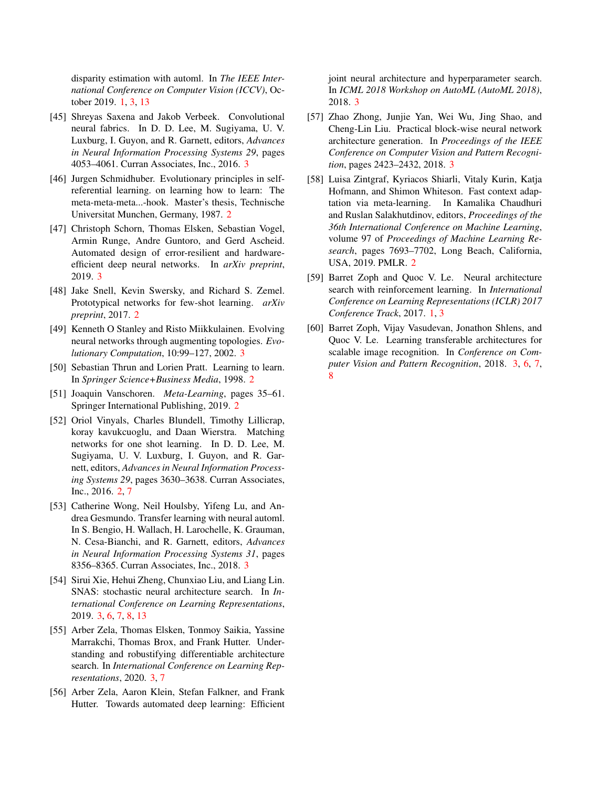disparity estimation with automl. In *The IEEE International Conference on Computer Vision (ICCV)*, October 2019. [1,](#page-0-1) [3,](#page-2-3) [13](#page-12-2)

- <span id="page-11-11"></span>[45] Shreyas Saxena and Jakob Verbeek. Convolutional neural fabrics. In D. D. Lee, M. Sugiyama, U. V. Luxburg, I. Guyon, and R. Garnett, editors, *Advances in Neural Information Processing Systems 29*, pages 4053–4061. Curran Associates, Inc., 2016. [3](#page-2-3)
- <span id="page-11-1"></span>[46] Jurgen Schmidhuber. Evolutionary principles in selfreferential learning. on learning how to learn: The meta-meta-meta...-hook. Master's thesis, Technische Universitat Munchen, Germany, 1987. [2](#page-1-1)
- <span id="page-11-10"></span>[47] Christoph Schorn, Thomas Elsken, Sebastian Vogel, Armin Runge, Andre Guntoro, and Gerd Ascheid. Automated design of error-resilient and hardwareefficient deep neural networks. In *arXiv preprint*, 2019. [3](#page-2-3)
- <span id="page-11-4"></span>[48] Jake Snell, Kevin Swersky, and Richard S. Zemel. Prototypical networks for few-shot learning. *arXiv preprint*, 2017. [2](#page-1-1)
- <span id="page-11-9"></span>[49] Kenneth O Stanley and Risto Miikkulainen. Evolving neural networks through augmenting topologies. *Evolutionary Computation*, 10:99–127, 2002. [3](#page-2-3)
- <span id="page-11-2"></span>[50] Sebastian Thrun and Lorien Pratt. Learning to learn. In *Springer Science+Business Media*, 1998. [2](#page-1-1)
- <span id="page-11-3"></span>[51] Joaquin Vanschoren. *Meta-Learning*, pages 35–61. Springer International Publishing, 2019. [2](#page-1-1)
- <span id="page-11-5"></span>[52] Oriol Vinyals, Charles Blundell, Timothy Lillicrap, koray kavukcuoglu, and Daan Wierstra. Matching networks for one shot learning. In D. D. Lee, M. Sugiyama, U. V. Luxburg, I. Guyon, and R. Garnett, editors, *Advances in Neural Information Processing Systems 29*, pages 3630–3638. Curran Associates, Inc., 2016. [2,](#page-1-1) [7](#page-6-2)
- <span id="page-11-15"></span>[53] Catherine Wong, Neil Houlsby, Yifeng Lu, and Andrea Gesmundo. Transfer learning with neural automl. In S. Bengio, H. Wallach, H. Larochelle, K. Grauman, N. Cesa-Bianchi, and R. Garnett, editors, *Advances in Neural Information Processing Systems 31*, pages 8356–8365. Curran Associates, Inc., 2018. [3](#page-2-3)
- <span id="page-11-13"></span>[54] Sirui Xie, Hehui Zheng, Chunxiao Liu, and Liang Lin. SNAS: stochastic neural architecture search. In *International Conference on Learning Representations*, 2019. [3,](#page-2-3) [6,](#page-5-2) [7,](#page-6-2) [8,](#page-7-5) [13](#page-12-2)
- <span id="page-11-14"></span>[55] Arber Zela, Thomas Elsken, Tonmoy Saikia, Yassine Marrakchi, Thomas Brox, and Frank Hutter. Understanding and robustifying differentiable architecture search. In *International Conference on Learning Representations*, 2020. [3,](#page-2-3) [7](#page-6-2)
- <span id="page-11-12"></span>[56] Arber Zela, Aaron Klein, Stefan Falkner, and Frank Hutter. Towards automated deep learning: Efficient

joint neural architecture and hyperparameter search. In *ICML 2018 Workshop on AutoML (AutoML 2018)*, 2018. [3](#page-2-3)

- <span id="page-11-7"></span>[57] Zhao Zhong, Junjie Yan, Wei Wu, Jing Shao, and Cheng-Lin Liu. Practical block-wise neural network architecture generation. In *Proceedings of the IEEE Conference on Computer Vision and Pattern Recognition*, pages 2423–2432, 2018. [3](#page-2-3)
- <span id="page-11-6"></span>[58] Luisa Zintgraf, Kyriacos Shiarli, Vitaly Kurin, Katja Hofmann, and Shimon Whiteson. Fast context adaptation via meta-learning. In Kamalika Chaudhuri and Ruslan Salakhutdinov, editors, *Proceedings of the 36th International Conference on Machine Learning*, volume 97 of *Proceedings of Machine Learning Research*, pages 7693–7702, Long Beach, California, USA, 2019. PMLR. [2](#page-1-1)
- <span id="page-11-0"></span>[59] Barret Zoph and Quoc V. Le. Neural architecture search with reinforcement learning. In *International Conference on Learning Representations (ICLR) 2017 Conference Track*, 2017. [1,](#page-0-1) [3](#page-2-3)
- <span id="page-11-8"></span>[60] Barret Zoph, Vijay Vasudevan, Jonathon Shlens, and Quoc V. Le. Learning transferable architectures for scalable image recognition. In *Conference on Computer Vision and Pattern Recognition*, 2018. [3,](#page-2-3) [6,](#page-5-2) [7,](#page-6-2) [8](#page-7-5)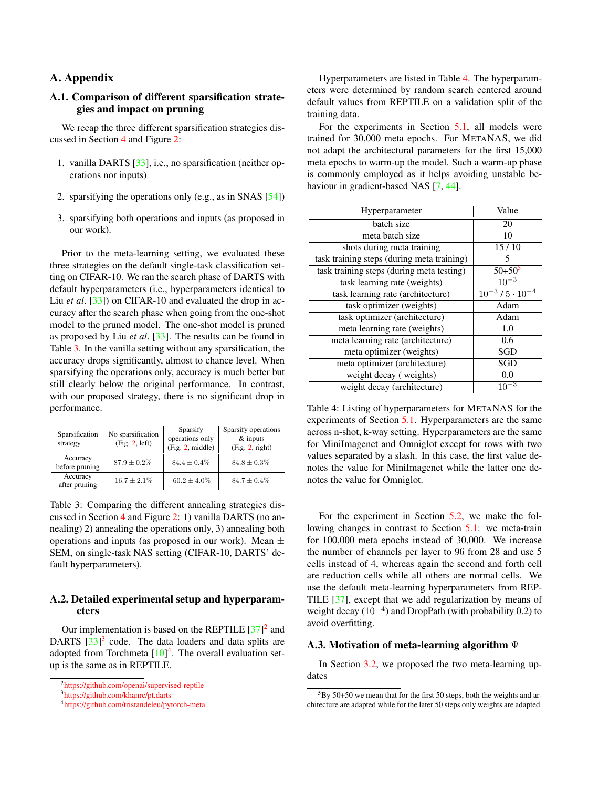# <span id="page-12-2"></span>A. Appendix

### <span id="page-12-0"></span>A.1. Comparison of different sparsification strategies and impact on pruning

We recap the three different sparsification strategies discussed in Section [4](#page-4-0) and Figure [2:](#page-3-0)

- 1. vanilla DARTS [\[33\]](#page-10-9), i.e., no sparsification (neither operations nor inputs)
- 2. sparsifying the operations only (e.g., as in SNAS [\[54\]](#page-11-13))
- 3. sparsifying both operations and inputs (as proposed in our work).

Prior to the meta-learning setting, we evaluated these three strategies on the default single-task classification setting on CIFAR-10. We ran the search phase of DARTS with default hyperparameters (i.e., hyperparameters identical to Liu *et al.* [\[33\]](#page-10-9)) on CIFAR-10 and evaluated the drop in accuracy after the search phase when going from the one-shot model to the pruned model. The one-shot model is pruned as proposed by Liu *et al*. [\[33\]](#page-10-9). The results can be found in Table [3.](#page-12-3) In the vanilla setting without any sparsification, the accuracy drops significantly, almost to chance level. When sparsifying the operations only, accuracy is much better but still clearly below the original performance. In contrast, with our proposed strategy, there is no significant drop in performance.

<span id="page-12-3"></span>

| Sparsification<br>strategy | No sparsification<br>(Fig. 2, left) | Sparsify<br>operations only<br>(Fig. 2, middle) | Sparsify operations<br>$&$ inputs<br>(Fig. 2, right) |
|----------------------------|-------------------------------------|-------------------------------------------------|------------------------------------------------------|
| Accuracy<br>before pruning | $87.9 \pm 0.2\%$                    | $84.4 \pm 0.4\%$                                | $84.8 \pm 0.3\%$                                     |
| Accuracy<br>after pruning  | $16.7 \pm 2.1\%$                    | $60.2 \pm 4.0\%$                                | $84.7 \pm 0.4\%$                                     |

Table 3: Comparing the different annealing strategies discussed in Section [4](#page-4-0) and Figure [2:](#page-3-0) 1) vanilla DARTS (no annealing) 2) annealing the operations only, 3) annealing both operations and inputs (as proposed in our work). Mean  $\pm$ SEM, on single-task NAS setting (CIFAR-10, DARTS' default hyperparameters).

### <span id="page-12-1"></span>A.2. Detailed experimental setup and hyperparameters

Our implementation is based on the REPTILE  $[37]^2$  $[37]^2$  $[37]^2$  and DARTS [\[33\]](#page-10-9)<sup>[3](#page-12-5)</sup> code. The data loaders and data splits are adopted from Torchmeta  $[10]<sup>4</sup>$  $[10]<sup>4</sup>$  $[10]<sup>4</sup>$  $[10]<sup>4</sup>$ . The overall evaluation setup is the same as in REPTILE.

Hyperparameters are listed in Table [4.](#page-12-7) The hyperparameters were determined by random search centered around default values from REPTILE on a validation split of the training data.

For the experiments in Section [5.1,](#page-6-3) all models were trained for 30,000 meta epochs. For METANAS, we did not adapt the architectural parameters for the first 15,000 meta epochs to warm-up the model. Such a warm-up phase is commonly employed as it helps avoiding unstable behaviour in gradient-based NAS [\[7,](#page-9-1) [44\]](#page-10-3).

<span id="page-12-7"></span>

| Hyperparameter                             | Value                                                                                                                                                                                                                                                                                                                                                                                                                          |
|--------------------------------------------|--------------------------------------------------------------------------------------------------------------------------------------------------------------------------------------------------------------------------------------------------------------------------------------------------------------------------------------------------------------------------------------------------------------------------------|
| batch size                                 | 20                                                                                                                                                                                                                                                                                                                                                                                                                             |
| meta batch size                            | 10                                                                                                                                                                                                                                                                                                                                                                                                                             |
| shots during meta training                 | 15/10                                                                                                                                                                                                                                                                                                                                                                                                                          |
| task training steps (during meta training) | 5                                                                                                                                                                                                                                                                                                                                                                                                                              |
| task training steps (during meta testing)  | $50+50^5$                                                                                                                                                                                                                                                                                                                                                                                                                      |
| task learning rate (weights)               | $10^{-3}$                                                                                                                                                                                                                                                                                                                                                                                                                      |
| task learning rate (architecture)          | $\frac{10^{-3} \times 5 \cdot 10^{-3}}{10^{-3} \times 10^{-3} \times 10^{-3} \times 10^{-3} \times 10^{-3} \times 10^{-3} \times 10^{-3} \times 10^{-3} \times 10^{-3} \times 10^{-3} \times 10^{-3} \times 10^{-3} \times 10^{-3} \times 10^{-3} \times 10^{-3} \times 10^{-3} \times 10^{-3} \times 10^{-3} \times 10^{-3} \times 10^{-3} \times 10^{-3} \times 10^{-3} \times 10^{-3} \times 10^{-3} \times 10^{-3} \times$ |
| task optimizer (weights)                   | Adam                                                                                                                                                                                                                                                                                                                                                                                                                           |
| task optimizer (architecture)              | Adam                                                                                                                                                                                                                                                                                                                                                                                                                           |
| meta learning rate (weights)               | 1.0                                                                                                                                                                                                                                                                                                                                                                                                                            |
| meta learning rate (architecture)          | 0.6                                                                                                                                                                                                                                                                                                                                                                                                                            |
| meta optimizer (weights)                   | SGD                                                                                                                                                                                                                                                                                                                                                                                                                            |
| meta optimizer (architecture)              | <b>SGD</b>                                                                                                                                                                                                                                                                                                                                                                                                                     |
| weight decay (weights)                     | 0.0                                                                                                                                                                                                                                                                                                                                                                                                                            |
| weight decay (architecture)                | $10^{-3}$                                                                                                                                                                                                                                                                                                                                                                                                                      |

Table 4: Listing of hyperparameters for METANAS for the experiments of Section [5.1.](#page-6-3) Hyperparameters are the same across n-shot, k-way setting. Hyperparameters are the same for MiniImagenet and Omniglot except for rows with two values separated by a slash. In this case, the first value denotes the value for MiniImagenet while the latter one denotes the value for Omniglot.

For the experiment in Section [5.2,](#page-7-2) we make the following changes in contrast to Section [5.1:](#page-6-3) we meta-train for 100,000 meta epochs instead of 30,000. We increase the number of channels per layer to 96 from 28 and use 5 cells instead of 4, whereas again the second and forth cell are reduction cells while all others are normal cells. We use the default meta-learning hyperparameters from REP-TILE [\[37\]](#page-10-4), except that we add regularization by means of weight decay  $(10^{-4})$  and DropPath (with probability 0.2) to avoid overfitting.

#### A.3. Motivation of meta-learning algorithm Ψ

In Section [3.2,](#page-3-4) we proposed the two meta-learning updates

<span id="page-12-4"></span><sup>2</sup>[https://github.com/openai/supervised-reptile](#page-0-2)

<span id="page-12-5"></span><sup>3</sup>[https://github.com/khanrc/pt.darts](#page-0-2)

<span id="page-12-6"></span><sup>4</sup>[https://github.com/tristandeleu/pytorch-meta](#page-0-2)

<span id="page-12-8"></span> $5By 50+50$  we mean that for the first 50 steps, both the weights and architecture are adapted while for the later 50 steps only weights are adapted.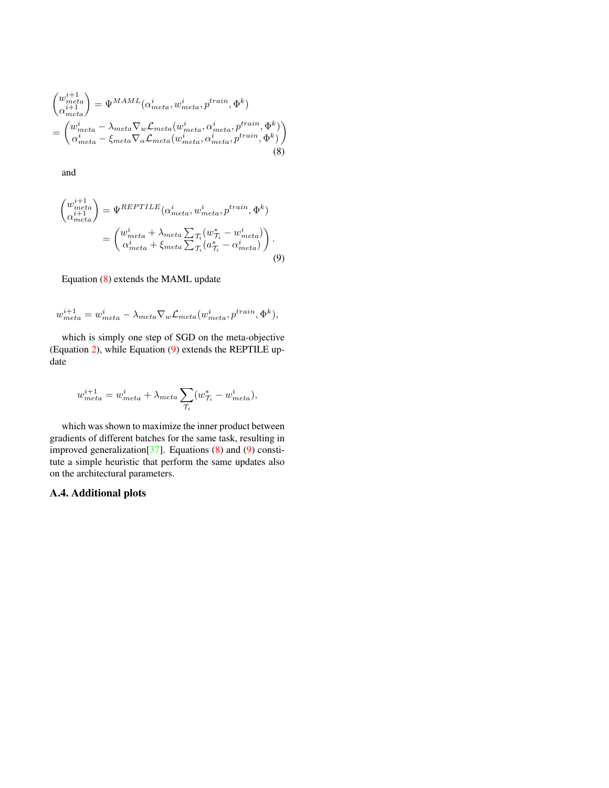<span id="page-13-1"></span><span id="page-13-0"></span>
$$
\begin{pmatrix}\nw_{meta}^{i+1} \\
\alpha_{meta}^{i+1}\n\end{pmatrix} = \Psi^{MAML}(\alpha_{meta}^{i}, w_{meta}^{i}, p^{train}, \Phi^{k})
$$
\n
$$
= \begin{pmatrix}\nw_{meta}^{i} - \lambda_{meta} \nabla_{w} \mathcal{L}_{meta}(w_{meta}^{i}, \alpha_{meta}^{i}, p^{train}, \Phi^{k}) \\
\alpha_{meta}^{i} - \xi_{meta} \nabla_{\alpha} \mathcal{L}_{meta}(w_{meta}^{i}, \alpha_{meta}^{i}, p^{train}, \Phi^{k})\n\end{pmatrix}
$$
\n(8)

and

<span id="page-13-2"></span>
$$
\begin{pmatrix}\nw_{meta}^{i+1} \\
\alpha_{meta}^{i+1}\n\end{pmatrix} = \Psi^{REPTILE}(\alpha_{meta}^i, w_{meta}^i, p^{train}, \Phi^k)
$$
\n
$$
= \begin{pmatrix}\nw_{meta}^i + \lambda_{meta} \sum_{\tau_i} (w_{\tau_i}^* - w_{meta}^i) \\
\alpha_{meta}^i + \xi_{meta} \sum_{\tau_i} (a_{\tau_i}^* - \alpha_{meta}^i)\n\end{pmatrix}.
$$
\n(9)

Equation [\(8\)](#page-13-1) extends the MAML update

$$
w_{meta}^{i+1} = w_{meta}^{i} - \lambda_{meta} \nabla_w \mathcal{L}_{meta}(w_{meta}^{i}, p^{train}, \Phi^k),
$$

which is simply one step of SGD on the meta-objective (Equation [2\)](#page-3-2), while Equation [\(9\)](#page-13-2) extends the REPTILE update

$$
w_{meta}^{i+1} = w_{meta}^{i} + \lambda_{meta} \sum_{\mathcal{T}_i} (w_{\mathcal{T}_i}^{*} - w_{meta}^{i}),
$$

which was shown to maximize the inner product between gradients of different batches for the same task, resulting in improved generalization[\[37\]](#page-10-4). Equations [\(8\)](#page-13-1) and [\(9\)](#page-13-2) constitute a simple heuristic that perform the same updates also on the architectural parameters.

# A.4. Additional plots